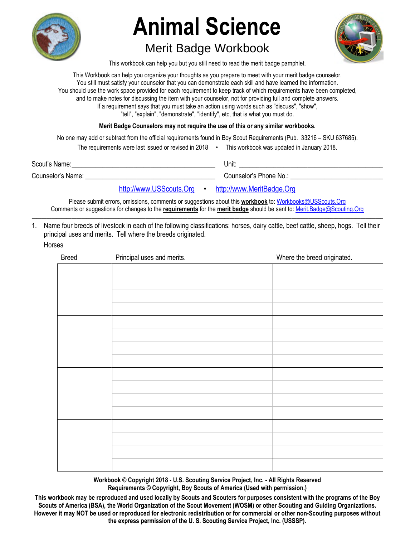

# **Animal Science**

## Merit Badge Workbook



This workbook can help you but you still need to read the merit badge pamphlet.

This Workbook can help you organize your thoughts as you prepare to meet with your merit badge counselor. You still must satisfy your counselor that you can demonstrate each skill and have learned the information. You should use the work space provided for each requirement to keep track of which requirements have been completed, and to make notes for discussing the item with your counselor, not for providing full and complete answers. If a requirement says that you must take an action using words such as "discuss", "show", "tell", "explain", "demonstrate", "identify", etc, that is what you must do.

**Merit Badge Counselors may not require the use of this or any similar workbooks.**

No one may add or subtract from the official requirements found in Boy Scout Requirements (Pub. 33216 – SKU 637685).

The requirements were last issued or revised in 2018 • This workbook was updated in January 2018.

Scout's Name: \_\_\_\_\_\_\_\_\_\_\_\_\_\_\_\_\_\_\_\_\_\_\_\_\_\_\_\_\_\_\_\_\_\_\_\_\_\_\_\_\_\_ Unit: \_\_\_\_\_\_\_\_\_\_\_\_\_\_\_\_\_\_\_\_\_\_\_\_\_\_\_\_\_\_\_\_\_\_\_\_\_\_\_\_\_\_

Counselor's Name: et al. et al. et al. et al. et al. et al. et al. et al. et al. et al. et al. et al. et al. e

[http://www.USScouts.Org](http://www.usscouts.org/) • [http://www.MeritBadge.Org](http://www.meritbadge.org/)

Please submit errors, omissions, comments or suggestions about this **workbook** to: [Workbooks@USScouts.Org](mailto:Workbooks@usscouts.org?subject=Merit%20Badge%20Workbooks) Comments or suggestions for changes to the **requirements** for the **merit badge** should be sent to: [Merit.Badge@Scouting.Org](mailto:merit.badge@scouting.org) *\_\_\_\_\_\_\_\_\_\_\_\_\_\_\_\_\_\_\_\_\_\_\_\_\_\_\_\_\_\_\_\_\_\_\_\_\_\_\_\_\_\_\_\_\_\_\_\_\_\_\_\_\_\_\_\_\_\_\_\_\_\_\_\_\_\_\_\_\_\_\_\_\_\_\_\_\_\_\_\_\_\_\_\_\_\_\_\_\_\_\_\_\_\_\_\_\_\_\_\_\_\_\_\_\_\_\_\_\_\_\_\_\_\_\_\_\_\_\_\_\_\_\_\_\_\_\_\_\_\_\_\_\_\_\_\_\_\_\_\_\_\_* 

1. Name four breeds of livestock in each of the following classifications: horses, dairy cattle, beef cattle, sheep, hogs. Tell their principal uses and merits. Tell where the breeds originated. Horses

| <b>Breed</b> | Principal uses and merits. | Where the breed originated. |
|--------------|----------------------------|-----------------------------|
|              |                            |                             |
|              |                            |                             |
|              |                            |                             |
|              |                            |                             |
|              |                            |                             |
|              |                            |                             |
|              |                            |                             |
|              |                            |                             |
|              |                            |                             |
|              |                            |                             |
|              |                            |                             |
|              |                            |                             |
|              |                            |                             |
|              |                            |                             |
|              |                            |                             |
|              |                            |                             |

**Workbook © Copyright 2018 - U.S. Scouting Service Project, Inc. - All Rights Reserved Requirements © Copyright, Boy Scouts of America (Used with permission.)** 

**This workbook may be reproduced and used locally by Scouts and Scouters for purposes consistent with the programs of the Boy Scouts of America (BSA), the World Organization of the Scout Movement (WOSM) or other Scouting and Guiding Organizations. However it may NOT be used or reproduced for electronic redistribution or for commercial or other non-Scouting purposes without the express permission of the U. S. Scouting Service Project, Inc. (USSSP).**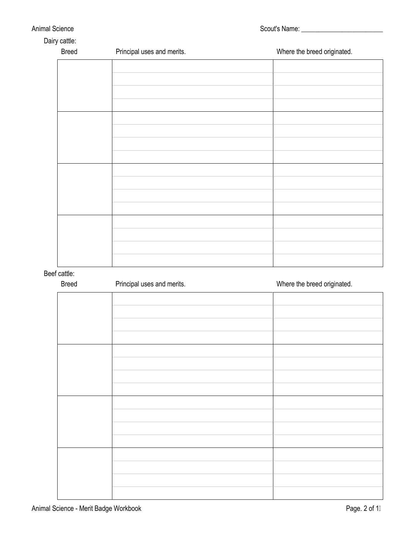| <b>Animal Science</b> |  |
|-----------------------|--|
|-----------------------|--|

Dairy cattle:

| <b>Breed</b> | Principal uses and merits. | Where the breed originated. |
|--------------|----------------------------|-----------------------------|
|              |                            |                             |
|              |                            |                             |
|              |                            |                             |
|              |                            |                             |
|              |                            |                             |
|              |                            |                             |
|              |                            |                             |
|              |                            |                             |
|              |                            |                             |
|              |                            |                             |
|              |                            |                             |
|              |                            |                             |
|              |                            |                             |
|              |                            |                             |
|              |                            |                             |
|              |                            |                             |

Beef cattle:

| <b>Breed</b> | Principal uses and merits. | Where the breed originated. |
|--------------|----------------------------|-----------------------------|
|              |                            |                             |
|              |                            |                             |
|              |                            |                             |
|              |                            |                             |
|              |                            |                             |
|              |                            |                             |
|              |                            |                             |
|              |                            |                             |
|              |                            |                             |
|              |                            |                             |
|              |                            |                             |
|              |                            |                             |
|              |                            |                             |
|              |                            |                             |
|              |                            |                             |
|              |                            |                             |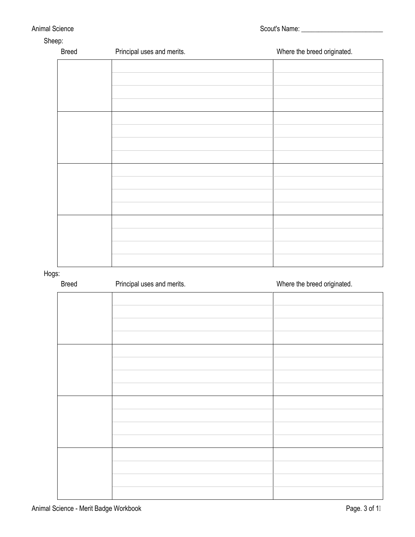| <b>Breed</b> | Principal uses and merits. | Where the breed originated. |
|--------------|----------------------------|-----------------------------|
|              |                            |                             |
|              |                            |                             |
|              |                            |                             |
|              |                            |                             |
|              |                            |                             |
|              |                            |                             |
|              |                            |                             |
|              |                            |                             |
|              |                            |                             |
|              |                            |                             |
|              |                            |                             |
|              |                            |                             |
|              |                            |                             |
|              |                            |                             |
|              |                            |                             |
|              |                            |                             |

Hogs:

| <b>Breed</b> | Principal uses and merits. | Where the breed originated. |
|--------------|----------------------------|-----------------------------|
|              |                            |                             |
|              |                            |                             |
|              |                            |                             |
|              |                            |                             |
|              |                            |                             |
|              |                            |                             |
|              |                            |                             |
|              |                            |                             |
|              |                            |                             |
|              |                            |                             |
|              |                            |                             |
|              |                            |                             |
|              |                            |                             |
|              |                            |                             |
|              |                            |                             |
|              |                            |                             |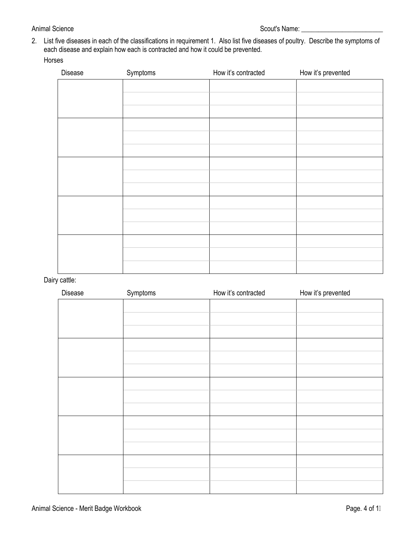#### Animal Science Scout's Name: \_\_\_\_\_\_\_\_\_\_\_\_\_\_\_\_\_\_\_\_\_\_\_\_

2. List five diseases in each of the classifications in requirement 1. Also list five diseases of poultry. Describe the symptoms of each disease and explain how each is contracted and how it could be prevented.

#### Horses

| Disease | Symptoms | How it's contracted | How it's prevented |
|---------|----------|---------------------|--------------------|
|         |          |                     |                    |
|         |          |                     |                    |
|         |          |                     |                    |
|         |          |                     |                    |
|         |          |                     |                    |
|         |          |                     |                    |
|         |          |                     |                    |
|         |          |                     |                    |
|         |          |                     |                    |
|         |          |                     |                    |
|         |          |                     |                    |
|         |          |                     |                    |
|         |          |                     |                    |
|         |          |                     |                    |
|         |          |                     |                    |

Dairy cattle:

| Disease | Symptoms | How it's contracted | How it's prevented |
|---------|----------|---------------------|--------------------|
|         |          |                     |                    |
|         |          |                     |                    |
|         |          |                     |                    |
|         |          |                     |                    |
|         |          |                     |                    |
|         |          |                     |                    |
|         |          |                     |                    |
|         |          |                     |                    |
|         |          |                     |                    |
|         |          |                     |                    |
|         |          |                     |                    |
|         |          |                     |                    |
|         |          |                     |                    |
|         |          |                     |                    |
|         |          |                     |                    |
|         |          |                     |                    |
|         |          |                     |                    |
|         |          |                     |                    |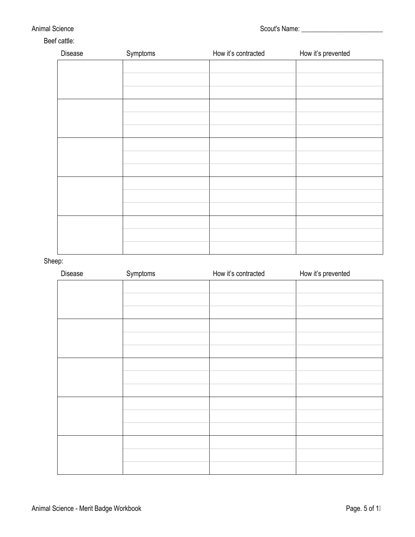#### Animal Science Scout's Name: \_\_\_\_\_\_\_\_\_\_\_\_\_\_\_\_\_\_\_\_\_\_\_\_

#### Beef cattle:

| Disease | Symptoms | How it's contracted | How it's prevented |
|---------|----------|---------------------|--------------------|
|         |          |                     |                    |
|         |          |                     |                    |
|         |          |                     |                    |
|         |          |                     |                    |
|         |          |                     |                    |
|         |          |                     |                    |
|         |          |                     |                    |
|         |          |                     |                    |
|         |          |                     |                    |
|         |          |                     |                    |
|         |          |                     |                    |
|         |          |                     |                    |
|         |          |                     |                    |
|         |          |                     |                    |
|         |          |                     |                    |
|         |          |                     |                    |
|         |          |                     |                    |
|         |          |                     |                    |

#### Sheep:

| Disease | Symptoms | How it's contracted | How it's prevented |
|---------|----------|---------------------|--------------------|
|         |          |                     |                    |
|         |          |                     |                    |
|         |          |                     |                    |
|         |          |                     |                    |
|         |          |                     |                    |
|         |          |                     |                    |
|         |          |                     |                    |
|         |          |                     |                    |
|         |          |                     |                    |
|         |          |                     |                    |
|         |          |                     |                    |
|         |          |                     |                    |
|         |          |                     |                    |
|         |          |                     |                    |
|         |          |                     |                    |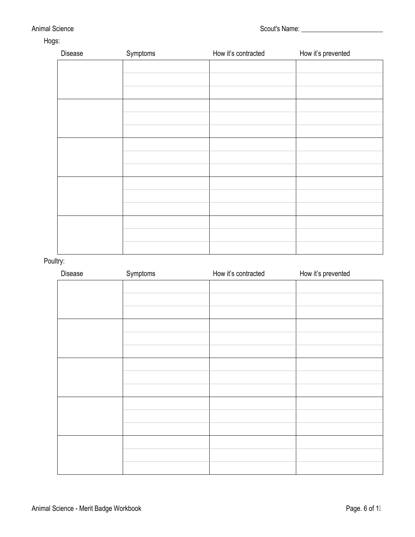#### Animal Science Scout's Name: \_\_\_\_\_\_\_\_\_\_\_\_\_\_\_\_\_\_\_\_\_\_\_\_

### Hogs:

| Disease | Symptoms | How it's contracted | How it's prevented |
|---------|----------|---------------------|--------------------|
|         |          |                     |                    |
|         |          |                     |                    |
|         |          |                     |                    |
|         |          |                     |                    |
|         |          |                     |                    |
|         |          |                     |                    |
|         |          |                     |                    |
|         |          |                     |                    |
|         |          |                     |                    |
|         |          |                     |                    |
|         |          |                     |                    |
|         |          |                     |                    |
|         |          |                     |                    |
|         |          |                     |                    |
|         |          |                     |                    |
|         |          |                     |                    |
|         |          |                     |                    |
|         |          |                     |                    |

#### Poultry:

| Disease | Symptoms | How it's contracted | How it's prevented |
|---------|----------|---------------------|--------------------|
|         |          |                     |                    |
|         |          |                     |                    |
|         |          |                     |                    |
|         |          |                     |                    |
|         |          |                     |                    |
|         |          |                     |                    |
|         |          |                     |                    |
|         |          |                     |                    |
|         |          |                     |                    |
|         |          |                     |                    |
|         |          |                     |                    |
|         |          |                     |                    |
|         |          |                     |                    |
|         |          |                     |                    |
|         |          |                     |                    |
|         |          |                     |                    |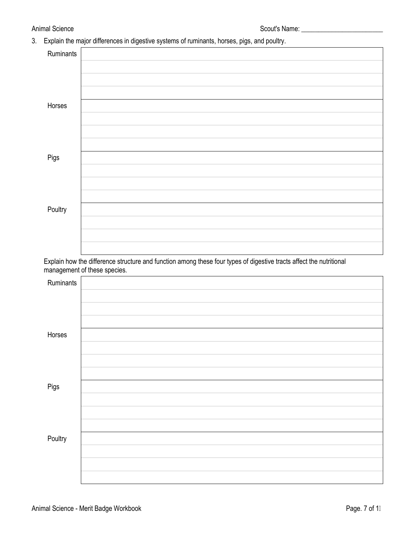3. Explain the major differences in digestive systems of ruminants, horses, pigs, and poultry.

| Ruminants |  |
|-----------|--|
|           |  |
|           |  |
|           |  |
| Horses    |  |
|           |  |
|           |  |
|           |  |
| Pigs      |  |
|           |  |
|           |  |
|           |  |
| Poultry   |  |
|           |  |
|           |  |
|           |  |

Explain how the difference structure and function among these four types of digestive tracts affect the nutritional management of these species.

| Ruminants |  |
|-----------|--|
|           |  |
|           |  |
|           |  |
| Horses    |  |
|           |  |
|           |  |
|           |  |
| Pigs      |  |
|           |  |
|           |  |
|           |  |
| Poultry   |  |
|           |  |
|           |  |
|           |  |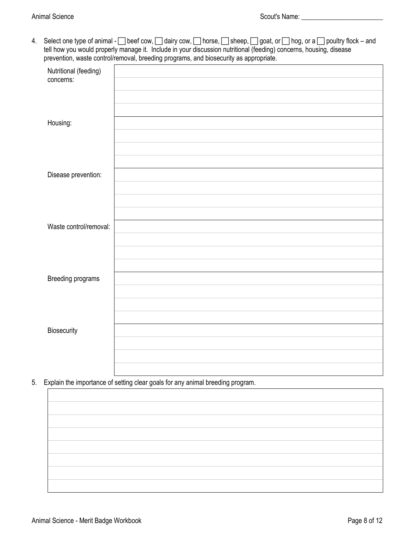4. Select one type of animal -  $\Box$  beef cow,  $\Box$  dairy cow,  $\Box$  horse,  $\Box$  sheep,  $\Box$  goat, or  $\Box$  hog, or a  $\Box$  poultry flock – and tell how you would properly manage it. Include in your discussion nutritional (feeding) concerns, housing, disease prevention, waste control/removal, breeding programs, and biosecurity as appropriate.

|                                    | $\overline{\phantom{a}}$<br>$\sim$ .<br>$\check{\phantom{a}}$<br>$\overline{\phantom{a}}$<br>. .<br>. . |
|------------------------------------|---------------------------------------------------------------------------------------------------------|
| Nutritional (feeding)<br>concerns: |                                                                                                         |
| Housing:                           |                                                                                                         |
| Disease prevention:                |                                                                                                         |
| Waste control/removal:             |                                                                                                         |
|                                    |                                                                                                         |
| Breeding programs                  |                                                                                                         |
| Biosecurity                        |                                                                                                         |
|                                    |                                                                                                         |

5. Explain the importance of setting clear goals for any animal breeding program.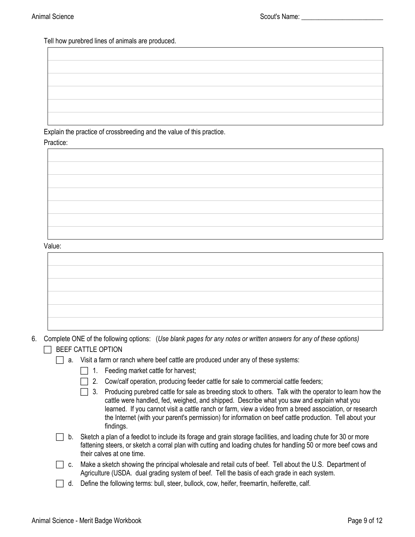Tell how purebred lines of animals are produced.

Explain the practice of crossbreeding and the value of this practice.

Practice:



Value:

- 6. Complete ONE of the following options: (*Use blank pages for any notes or written answers for any of these options)*   $\Box$  BEEF CATTLE OPTION
	- $\Box$  a. Visit a farm or ranch where beef cattle are produced under any of these systems:
		- $\Box$  1. Feeding market cattle for harvest;
		- $\Box$  2. Cow/calf operation, producing feeder cattle for sale to commercial cattle feeders;
		- $\Box$  3. Producing purebred cattle for sale as breeding stock to others. Talk with the operator to learn how the cattle were handled, fed, weighed, and shipped. Describe what you saw and explain what you learned. If you cannot visit a cattle ranch or farm, view a video from a breed association, or research the Internet (with your parent's permission) for information on beef cattle production. Tell about your findings.
	- $\Box$  b. Sketch a plan of a feedlot to include its forage and grain storage facilities, and loading chute for 30 or more fattening steers, or sketch a corral plan with cutting and loading chutes for handling 50 or more beef cows and their calves at one time.
	- □ c. Make a sketch showing the principal wholesale and retail cuts of beef. Tell about the U.S. Department of Agriculture (USDA. dual grading system of beef. Tell the basis of each grade in each system.
	- d. Define the following terms: bull, steer, bullock, cow, heifer, freemartin, heiferette, calf.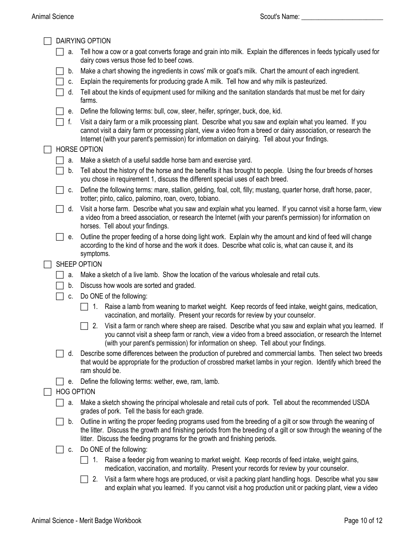|    | <b>DAIRYING OPTION</b>                                                                                                                                                                                                                                                                                                         |
|----|--------------------------------------------------------------------------------------------------------------------------------------------------------------------------------------------------------------------------------------------------------------------------------------------------------------------------------|
| a. | Tell how a cow or a goat converts forage and grain into milk. Explain the differences in feeds typically used for<br>dairy cows versus those fed to beef cows.                                                                                                                                                                 |
| b. | Make a chart showing the ingredients in cows' milk or goat's milk. Chart the amount of each ingredient.                                                                                                                                                                                                                        |
| C. | Explain the requirements for producing grade A milk. Tell how and why milk is pasteurized.                                                                                                                                                                                                                                     |
| d. | Tell about the kinds of equipment used for milking and the sanitation standards that must be met for dairy                                                                                                                                                                                                                     |
|    | farms.                                                                                                                                                                                                                                                                                                                         |
| е. | Define the following terms: bull, cow, steer, heifer, springer, buck, doe, kid.                                                                                                                                                                                                                                                |
| f. | Visit a dairy farm or a milk processing plant. Describe what you saw and explain what you learned. If you<br>cannot visit a dairy farm or processing plant, view a video from a breed or dairy association, or research the<br>Internet (with your parent's permission) for information on dairying. Tell about your findings. |
|    | <b>HORSE OPTION</b>                                                                                                                                                                                                                                                                                                            |
| a. | Make a sketch of a useful saddle horse barn and exercise yard.                                                                                                                                                                                                                                                                 |
| b. | Tell about the history of the horse and the benefits it has brought to people. Using the four breeds of horses<br>you chose in requirement 1, discuss the different special uses of each breed.                                                                                                                                |
| C. | Define the following terms: mare, stallion, gelding, foal, colt, filly; mustang, quarter horse, draft horse, pacer,<br>trotter; pinto, calico, palomino, roan, overo, tobiano.                                                                                                                                                 |
| d. | Visit a horse farm. Describe what you saw and explain what you learned. If you cannot visit a horse farm, view<br>a video from a breed association, or research the Internet (with your parent's permission) for information on<br>horses. Tell about your findings.                                                           |
| е. | Outline the proper feeding of a horse doing light work. Explain why the amount and kind of feed will change<br>according to the kind of horse and the work it does. Describe what colic is, what can cause it, and its<br>symptoms.                                                                                            |
|    | SHEEP OPTION                                                                                                                                                                                                                                                                                                                   |
| a. | Make a sketch of a live lamb. Show the location of the various wholesale and retail cuts.                                                                                                                                                                                                                                      |
| b. | Discuss how wools are sorted and graded.                                                                                                                                                                                                                                                                                       |
| C. | Do ONE of the following:                                                                                                                                                                                                                                                                                                       |
|    | 1. Raise a lamb from weaning to market weight. Keep records of feed intake, weight gains, medication,<br>vaccination, and mortality. Present your records for review by your counselor.                                                                                                                                        |
|    | Visit a farm or ranch where sheep are raised. Describe what you saw and explain what you learned. If<br>2.<br>you cannot visit a sheep farm or ranch, view a video from a breed association, or research the Internet<br>(with your parent's permission) for information on sheep. Tell about your findings.                   |
| d. | Describe some differences between the production of purebred and commercial lambs. Then select two breeds<br>that would be appropriate for the production of crossbred market lambs in your region. Identify which breed the<br>ram should be.                                                                                 |
| е. | Define the following terms: wether, ewe, ram, lamb.                                                                                                                                                                                                                                                                            |
|    | <b>HOG OPTION</b>                                                                                                                                                                                                                                                                                                              |
| a. | Make a sketch showing the principal wholesale and retail cuts of pork. Tell about the recommended USDA<br>grades of pork. Tell the basis for each grade.                                                                                                                                                                       |
| b. | Outline in writing the proper feeding programs used from the breeding of a gilt or sow through the weaning of<br>the litter. Discuss the growth and finishing periods from the breeding of a gilt or sow through the weaning of the<br>litter. Discuss the feeding programs for the growth and finishing periods.              |
| C. | Do ONE of the following:                                                                                                                                                                                                                                                                                                       |
|    | Raise a feeder pig from weaning to market weight. Keep records of feed intake, weight gains,<br>1.<br>medication, vaccination, and mortality. Present your records for review by your counselor.                                                                                                                               |
|    | Visit a farm where hogs are produced, or visit a packing plant handling hogs. Describe what you saw<br>2.<br>and explain what you learned. If you cannot visit a hog production unit or packing plant, view a video                                                                                                            |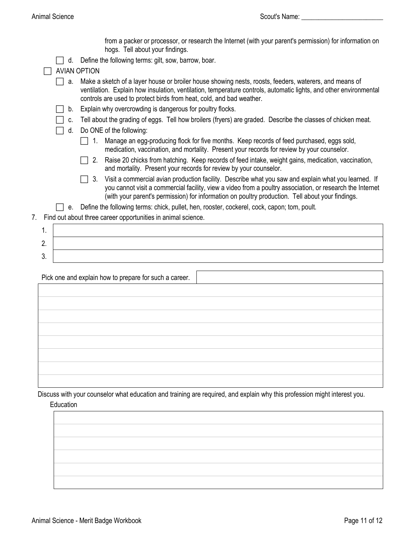from a packer or processor, or research the Internet (with your parent's permission) for information on hogs. Tell about your findings.  $\Box$  d. Define the following terms: gilt, sow, barrow, boar.  $\Box$  AVIAN OPTION  $\Box$  a. Make a sketch of a layer house or broiler house showing nests, roosts, feeders, waterers, and means of ventilation. Explain how insulation, ventilation, temperature controls, automatic lights, and other environmental controls are used to protect birds from heat, cold, and bad weather.  $\Box$  b. Explain why overcrowding is dangerous for poultry flocks.  $\Box$  c. Tell about the grading of eggs. Tell how broilers (fryers) are graded. Describe the classes of chicken meat. □ d. Do ONE of the following: 1. Manage an egg-producing flock for five months. Keep records of feed purchased, eggs sold, medication, vaccination, and mortality. Present your records for review by your counselor. □ 2. Raise 20 chicks from hatching. Keep records of feed intake, weight gains, medication, vaccination, and mortality. Present your records for review by your counselor.  $\Box$  3. Visit a commercial avian production facility. Describe what you saw and explain what you learned. If you cannot visit a commercial facility, view a video from a poultry association, or research the Internet (with your parent's permission) for information on poultry production. Tell about your findings.  $\Box$  e. Define the following terms: chick, pullet, hen, rooster, cockerel, cock, capon; tom, poult.

7. Find out about three career opportunities in animal science.

| c<br><u>.</u> |  |
|---------------|--|
| ◠<br>J.       |  |

Pick one and explain how to prepare for such a career.

Discuss with your counselor what education and training are required, and explain why this profession might interest you.

#### **Education**